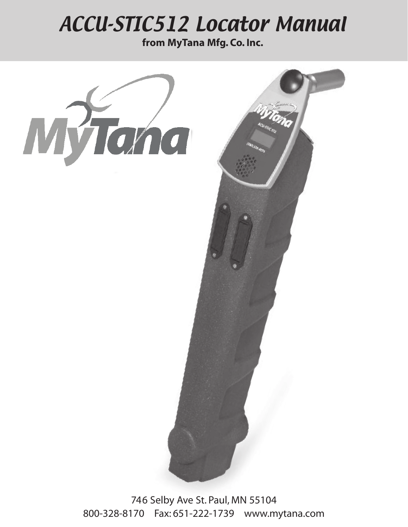# ACCU-STIC512 Locator Manual

**from MyTana Mfg. Co. Inc.**



746 Selby Ave St. Paul, MN 55104 800-328-8170 Fax: 651-222-1739 www.mytana.com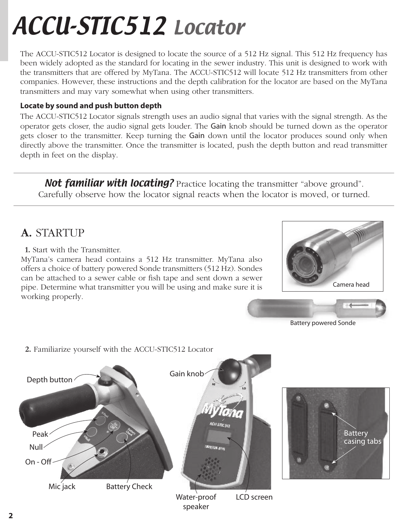# ACCU-STIC512 Locator

The ACCU-STIC512 Locator is designed to locate the source of a 512 Hz signal. This 512 Hz frequency has been widely adopted as the standard for locating in the sewer industry. This unit is designed to work with the transmitters that are offered by MyTana. The ACCU-STIC512 will locate 512 Hz transmitters from other companies. However, these instructions and the depth calibration for the locator are based on the MyTana transmitters and may vary somewhat when using other transmitters.

#### **Locate by sound and push button depth**

The ACCU-STIC512 Locator signals strength uses an audio signal that varies with the signal strength. As the operator gets closer, the audio signal gets louder. The Gain knob should be turned down as the operator gets closer to the transmitter. Keep turning the Gain down until the locator produces sound only when directly above the transmitter. Once the transmitter is located, push the depth button and read transmitter depth in feet on the display.

**Not familiar with locating?** Practice locating the transmitter "above ground". Carefully observe how the locator signal reacts when the locator is moved, or turned.

#### **A.** STARTUP

**1.** Start with the Transmitter.

MyTana's camera head contains a 512 Hz transmitter. MyTana also offers a choice of battery powered Sonde transmitters (512 Hz). Sondes can be attached to a sewer cable or fish tape and sent down a sewer pipe. Determine what transmitter you will be using and make sure it is working properly.





Battery powered Sonde



**2.** Familiarize yourself with the ACCU-STIC512 Locator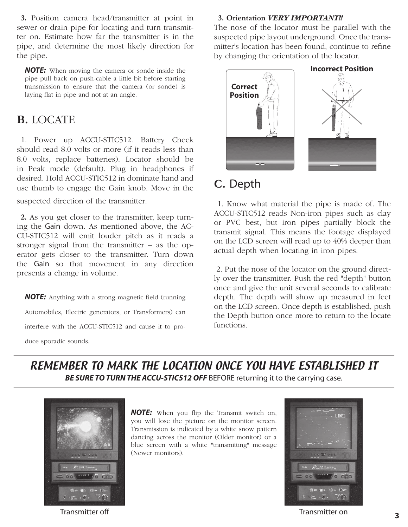**3.** Position camera head/transmitter at point in sewer or drain pipe for locating and turn transmitter on. Estimate how far the transmitter is in the pipe, and determine the most likely direction for the pipe.

*NOTE:* When moving the camera or sonde inside the pipe pull back on push-cable a little bit before starting transmission to ensure that the camera (or sonde) is laying flat in pipe and not at an angle.

#### **B.** LOCATE

1. Power up ACCU-STIC512. Battery Check should read 8.0 volts or more (if it reads less than 8.0 volts, replace batteries). Locator should be in Peak mode (default). Plug in headphones if desired. Hold ACCU-STIC512 in dominate hand and use thumb to engage the Gain knob. Move in the

suspected direction of the transmitter.

**2.** As you get closer to the transmitter, keep turning the Gain down. As mentioned above, the AC-CU-STIC512 will emit louder pitch as it reads a stronger signal from the transmitter – as the operator gets closer to the transmitter. Turn down the Gain so that movement in any direction presents a change in volume.

*NOTE:* Anything with a strong magnetic field (running Automobiles, Electric generators, or Transformers) can interfere with the ACCU-STIC512 and cause it to pro-

duce sporadic sounds.

#### **3. Orientation** *VERY IMPORTANT!!*

The nose of the locator must be parallel with the suspected pipe layout underground. Once the transmitter's location has been found, continue to refine by changing the orientation of the locator.



### **C.** Depth

 1. Know what material the pipe is made of. The ACCU-STIC512 reads Non-iron pipes such as clay or PVC best, but iron pipes partially block the transmit signal. This means the footage displayed on the LCD screen will read up to 40% deeper than actual depth when locating in iron pipes.

 2. Put the nose of the locator on the ground directly over the transmitter. Push the red "depth" button once and give the unit several seconds to calibrate depth. The depth will show up measured in feet on the LCD screen. Once depth is established, push the Depth button once more to return to the locate functions.

#### REMEMBER TO MARK THE LOCATION ONCE YOU HAVE ESTABLISHED IT **BE SURE TO TURN THE ACCU-STIC512 OFF** BEFORE returning it to the carrying case.



*NOTE:* When you flip the Transmit switch on, you will lose the picture on the monitor screen. Transmission is indicated by a white snow pattern dancing across the monitor (Older monitor) or a blue screen with a white "transmitting" message (Newer monitors).



Transmitter off Transmitter on